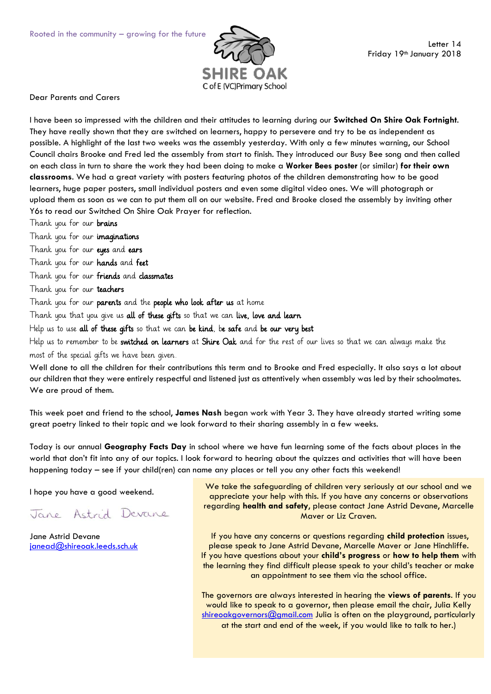

Dear Parents and Carers

I have been so impressed with the children and their attitudes to learning during our **Switched On Shire Oak Fortnight**. They have really shown that they are switched on learners, happy to persevere and try to be as independent as possible. A highlight of the last two weeks was the assembly yesterday. With only a few minutes warning, our School Council chairs Brooke and Fred led the assembly from start to finish. They introduced our Busy Bee song and then called on each class in turn to share the work they had been doing to make a **Worker Bees poster** (or similar) **for their own classrooms**. We had a great variety with posters featuring photos of the children demonstrating how to be good learners, huge paper posters, small individual posters and even some digital video ones. We will photograph or upload them as soon as we can to put them all on our website. Fred and Brooke closed the assembly by inviting other Y6s to read our Switched On Shire Oak Prayer for reflection.

Thank you for our **brains** 

Thank you for our imaginations

Thank you for our eyes and ears

Thank you for our hands and feet

Thank you for our friends and classmates

Thank you for our teachers

Thank you for our parents and the people who look after us at home

Thank you that you give us all of these gifts so that we can live, love and learn

Help us to use all of these gifts so that we can be kind, be safe and be our very best

Help us to remember to be switched on learners at Shire Oak and for the rest of our lives so that we can always make the most of the special gifts we have been given.

Well done to all the children for their contributions this term and to Brooke and Fred especially. It also says a lot about our children that they were entirely respectful and listened just as attentively when assembly was led by their schoolmates. We are proud of them.

This week poet and friend to the school, **James Nash** began work with Year 3. They have already started writing some great poetry linked to their topic and we look forward to their sharing assembly in a few weeks.

Today is our annual **Geography Facts Day** in school where we have fun learning some of the facts about places in the world that don't fit into any of our topics. I look forward to hearing about the quizzes and activities that will have been happening today – see if your child(ren) can name any places or tell you any other facts this weekend!

I hope you have a good weekend.

Jane Astrid Devane

Jane Astrid Devane [janead@shireoak.leeds.sch.uk](mailto:janead@shireoak.leeds.sch.uk)

We take the safeguarding of children very seriously at our school and we appreciate your help with this. If you have any concerns or observations regarding **health and safety**, please contact Jane Astrid Devane, Marcelle Maver or Liz Craven.

If you have any concerns or questions regarding **child protection** issues, please speak to Jane Astrid Devane, Marcelle Maver or Jane Hinchliffe. If you have questions about your **child's progress** or **how to help them** with the learning they find difficult please speak to your child's teacher or make an appointment to see them via the school office.

The governors are always interested in hearing the **views of parents**. If you would like to speak to a governor, then please email the chair, Julia Kelly [shireoakgovernors@gmail.com](mailto:shireoakgovernors@gmail.com) Julia is often on the playground, particularly at the start and end of the week, if you would like to talk to her.)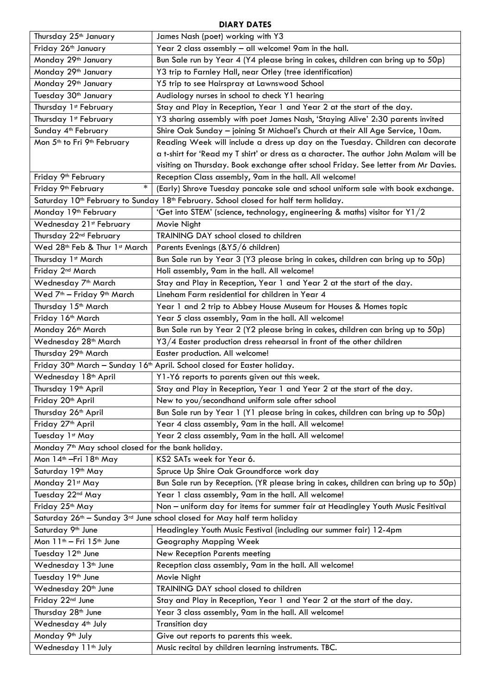## **DIARY DATES**

| Thursday 25 <sup>th</sup> January                                       | James Nash (poet) working with Y3                                                                            |
|-------------------------------------------------------------------------|--------------------------------------------------------------------------------------------------------------|
| Friday 26th January                                                     | Year 2 class assembly - all welcome! 9am in the hall.                                                        |
| Monday 29th January                                                     | Bun Sale run by Year 4 (Y4 please bring in cakes, children can bring up to 50p)                              |
| Monday 29th January                                                     | Y3 trip to Farnley Hall, near Otley (tree identification)                                                    |
| Monday 29th January                                                     | Y5 trip to see Hairspray at Lawnswood School                                                                 |
| Tuesday 30 <sup>th</sup> January                                        | Audiology nurses in school to check Y1 hearing                                                               |
| Thursday 1st February                                                   | Stay and Play in Reception, Year 1 and Year 2 at the start of the day.                                       |
| Thursday 1st February                                                   | Y3 sharing assembly with poet James Nash, 'Staying Alive' 2:30 parents invited                               |
| Sunday 4 <sup>th</sup> February                                         | Shire Oak Sunday - joining St Michael's Church at their All Age Service, 10am.                               |
| Mon 5 <sup>th</sup> to Fri 9 <sup>th</sup> February                     | Reading Week will include a dress up day on the Tuesday. Children can decorate                               |
|                                                                         | a t-shirt for 'Read my T shirt' or dress as a character. The author John Malam will be                       |
|                                                                         | visiting on Thursday. Book exchange after school Friday. See letter from Mr Davies.                          |
| Friday 9 <sup>th</sup> February                                         | Reception Class assembly, 9am in the hall. All welcome!                                                      |
| $\ast$<br>Friday 9 <sup>th</sup> February                               | (Early) Shrove Tuesday pancake sale and school uniform sale with book exchange.                              |
|                                                                         | Saturday 10 <sup>th</sup> February to Sunday 18 <sup>th</sup> February. School closed for half term holiday. |
| Monday 19 <sup>th</sup> February                                        | 'Get into STEM' (science, technology, engineering & maths) visitor for Y1/2                                  |
| Wednesday 21st February                                                 | Movie Night                                                                                                  |
| Thursday 22 <sup>nd</sup> February                                      | TRAINING DAY school closed to children                                                                       |
| Wed 28th Feb & Thur 1st March                                           | Parents Evenings (&Y5/6 children)                                                                            |
| Thursday 1st March                                                      | Bun Sale run by Year 3 (Y3 please bring in cakes, children can bring up to 50p)                              |
| Friday 2 <sup>nd</sup> March                                            | Holi assembly, 9am in the hall. All welcome!                                                                 |
| Wednesday 7 <sup>th</sup> March                                         | Stay and Play in Reception, Year 1 and Year 2 at the start of the day.                                       |
| Wed 7 <sup>th</sup> - Friday 9 <sup>th</sup> March                      | Lineham Farm residential for children in Year 4                                                              |
| Thursday 15 <sup>th</sup> March                                         | Year 1 and 2 trip to Abbey House Museum for Houses & Homes topic                                             |
| Friday 16th March                                                       | Year 5 class assembly, 9am in the hall. All welcome!                                                         |
| Monday 26 <sup>th</sup> March                                           | Bun Sale run by Year 2 (Y2 please bring in cakes, children can bring up to 50p)                              |
| Wednesday 28 <sup>th</sup> March                                        | Y3/4 Easter production dress rehearsal in front of the other children                                        |
| Thursday 29 <sup>th</sup> March                                         | Easter production. All welcome!                                                                              |
|                                                                         | Friday 30 <sup>th</sup> March - Sunday 16 <sup>th</sup> April. School closed for Easter holiday.             |
| Wednesday 18 <sup>th</sup> April                                        | Y1-Y6 reports to parents given out this week.                                                                |
| Thursday 19th April                                                     | Stay and Play in Reception, Year 1 and Year 2 at the start of the day.                                       |
| Friday 20th April                                                       | New to you/secondhand uniform sale after school                                                              |
| Thursday 26 <sup>th</sup> April                                         | Bun Sale run by Year 1 (Y1 please bring in cakes, children can bring up to 50p)                              |
| Friday 27 <sup>th</sup> April                                           | Year 4 class assembly, 9am in the hall. All welcome!                                                         |
| Tuesday 1st May                                                         | Year 2 class assembly, 9am in the hall. All welcome!                                                         |
| Monday 7 <sup>th</sup> May school closed for the bank holiday.          |                                                                                                              |
| Mon 14 <sup>th</sup> - Fri 18 <sup>th</sup> May                         | KS2 SATs week for Year 6.                                                                                    |
| Saturday 19th May                                                       | Spruce Up Shire Oak Groundforce work day                                                                     |
| Monday 21st May                                                         | Bun Sale run by Reception. (YR please bring in cakes, children can bring up to 50p)                          |
| Tuesday 22nd May                                                        | Year 1 class assembly, 9am in the hall. All welcome!                                                         |
| Friday 25th May                                                         | Non - uniform day for items for summer fair at Headingley Youth Music Fesitival                              |
| Saturday 26th - Sunday 3rd June school closed for May half term holiday |                                                                                                              |
| Saturday 9th June                                                       | Headingley Youth Music Festival (including our summer fair) 12-4pm                                           |
| Mon 11 <sup>th</sup> - Fri 15 <sup>th</sup> June                        | Geography Mapping Week                                                                                       |
| Tuesday 12 <sup>th</sup> June                                           | New Reception Parents meeting                                                                                |
| Wednesday 13 <sup>th</sup> June                                         | Reception class assembly, 9am in the hall. All welcome!                                                      |
| Tuesday 19th June                                                       | Movie Night                                                                                                  |
| Wednesday 20 <sup>th</sup> June                                         | TRAINING DAY school closed to children                                                                       |
| Friday 22nd June                                                        | Stay and Play in Reception, Year 1 and Year 2 at the start of the day.                                       |
| Thursday 28 <sup>th</sup> June                                          | Year 3 class assembly, 9am in the hall. All welcome!                                                         |
| Wednesday 4 <sup>th</sup> July                                          | Transition day                                                                                               |
| Monday 9 <sup>th</sup> July                                             | Give out reports to parents this week.                                                                       |
| Wednesday 11 <sup>th</sup> July                                         | Music recital by children learning instruments. TBC.                                                         |